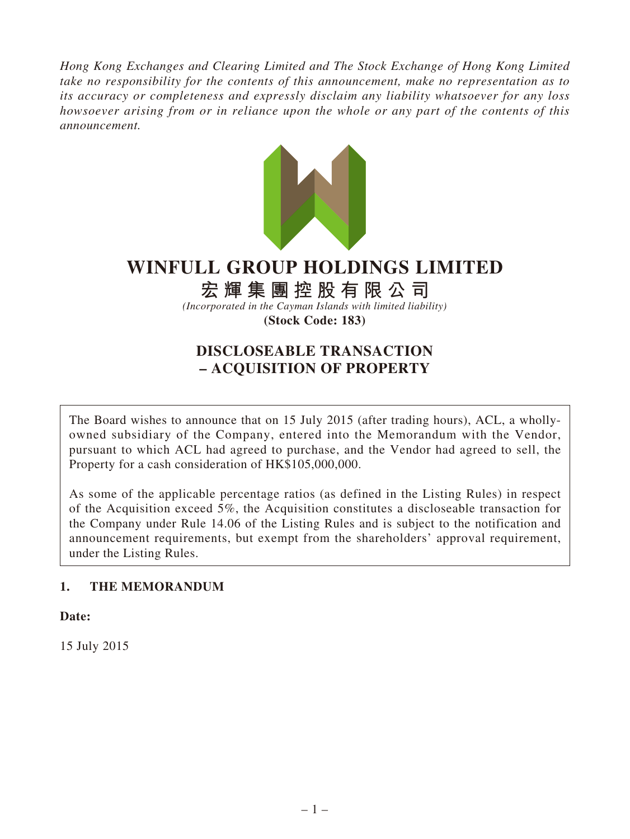*Hong Kong Exchanges and Clearing Limited and The Stock Exchange of Hong Kong Limited take no responsibility for the contents of this announcement, make no representation as to its accuracy or completeness and expressly disclaim any liability whatsoever for any loss howsoever arising from or in reliance upon the whole or any part of the contents of this announcement.*



# **WINFULL GROUP HOLDINGS LIMITED**

# **宏輝集團控股有限公司**

*(Incorporated in the Cayman Islands with limited liability)*

**(Stock Code: 183)**

# **DISCLOSEABLE TRANSACTION – ACQUISITION OF PROPERTY**

The Board wishes to announce that on 15 July 2015 (after trading hours), ACL, a whollyowned subsidiary of the Company, entered into the Memorandum with the Vendor, pursuant to which ACL had agreed to purchase, and the Vendor had agreed to sell, the Property for a cash consideration of HK\$105,000,000.

As some of the applicable percentage ratios (as defined in the Listing Rules) in respect of the Acquisition exceed 5%, the Acquisition constitutes a discloseable transaction for the Company under Rule 14.06 of the Listing Rules and is subject to the notification and announcement requirements, but exempt from the shareholders' approval requirement, under the Listing Rules.

# **1. THE MEMORANDUM**

**Date:**

15 July 2015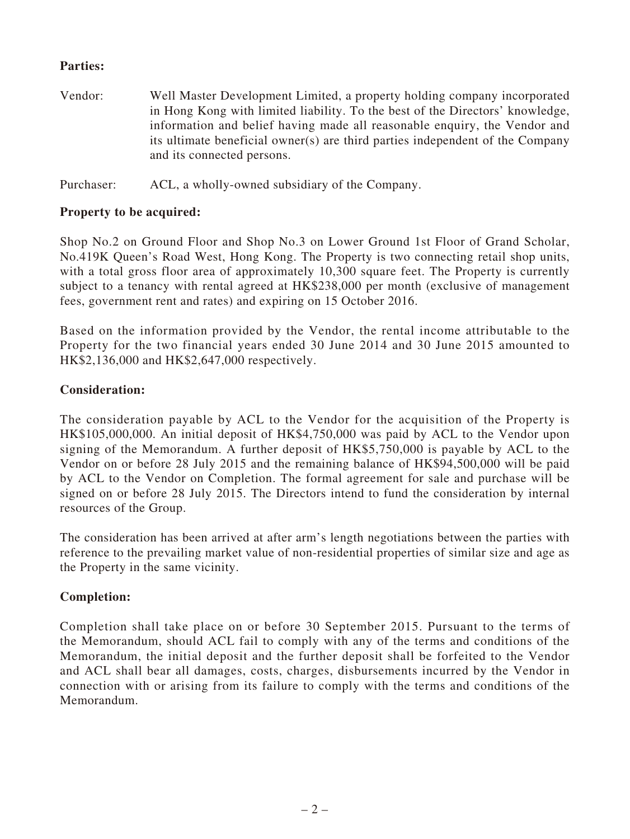#### **Parties:**

Vendor: Well Master Development Limited, a property holding company incorporated in Hong Kong with limited liability. To the best of the Directors' knowledge, information and belief having made all reasonable enquiry, the Vendor and its ultimate beneficial owner(s) are third parties independent of the Company and its connected persons.

Purchaser: ACL, a wholly-owned subsidiary of the Company.

#### **Property to be acquired:**

Shop No.2 on Ground Floor and Shop No.3 on Lower Ground 1st Floor of Grand Scholar, No.419K Queen's Road West, Hong Kong. The Property is two connecting retail shop units, with a total gross floor area of approximately 10,300 square feet. The Property is currently subject to a tenancy with rental agreed at HK\$238,000 per month (exclusive of management fees, government rent and rates) and expiring on 15 October 2016.

Based on the information provided by the Vendor, the rental income attributable to the Property for the two financial years ended 30 June 2014 and 30 June 2015 amounted to HK\$2,136,000 and HK\$2,647,000 respectively.

#### **Consideration:**

The consideration payable by ACL to the Vendor for the acquisition of the Property is HK\$105,000,000. An initial deposit of HK\$4,750,000 was paid by ACL to the Vendor upon signing of the Memorandum. A further deposit of HK\$5,750,000 is payable by ACL to the Vendor on or before 28 July 2015 and the remaining balance of HK\$94,500,000 will be paid by ACL to the Vendor on Completion. The formal agreement for sale and purchase will be signed on or before 28 July 2015. The Directors intend to fund the consideration by internal resources of the Group.

The consideration has been arrived at after arm's length negotiations between the parties with reference to the prevailing market value of non-residential properties of similar size and age as the Property in the same vicinity.

#### **Completion:**

Completion shall take place on or before 30 September 2015. Pursuant to the terms of the Memorandum, should ACL fail to comply with any of the terms and conditions of the Memorandum, the initial deposit and the further deposit shall be forfeited to the Vendor and ACL shall bear all damages, costs, charges, disbursements incurred by the Vendor in connection with or arising from its failure to comply with the terms and conditions of the Memorandum.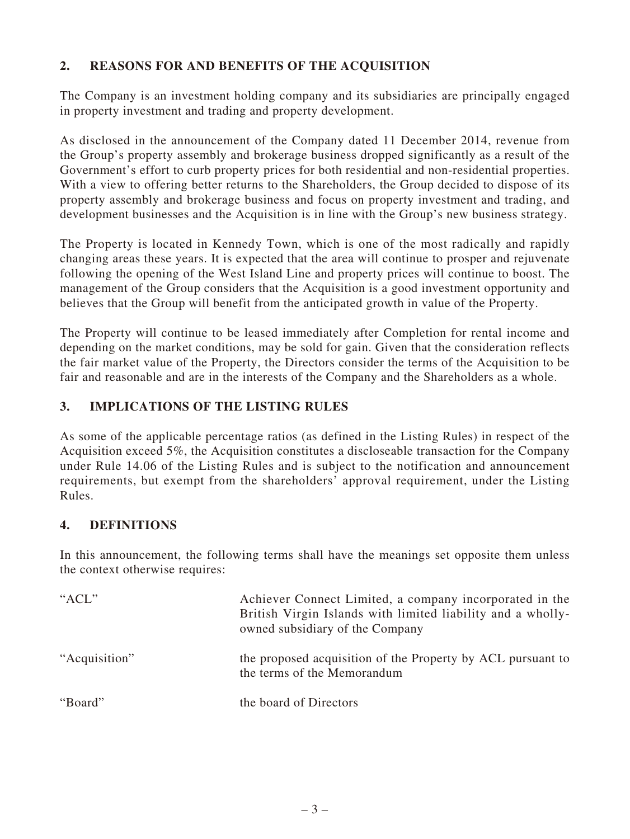# **2. REASONS FOR AND BENEFITS OF THE ACQUISITION**

The Company is an investment holding company and its subsidiaries are principally engaged in property investment and trading and property development.

As disclosed in the announcement of the Company dated 11 December 2014, revenue from the Group's property assembly and brokerage business dropped significantly as a result of the Government's effort to curb property prices for both residential and non-residential properties. With a view to offering better returns to the Shareholders, the Group decided to dispose of its property assembly and brokerage business and focus on property investment and trading, and development businesses and the Acquisition is in line with the Group's new business strategy.

The Property is located in Kennedy Town, which is one of the most radically and rapidly changing areas these years. It is expected that the area will continue to prosper and rejuvenate following the opening of the West Island Line and property prices will continue to boost. The management of the Group considers that the Acquisition is a good investment opportunity and believes that the Group will benefit from the anticipated growth in value of the Property.

The Property will continue to be leased immediately after Completion for rental income and depending on the market conditions, may be sold for gain. Given that the consideration reflects the fair market value of the Property, the Directors consider the terms of the Acquisition to be fair and reasonable and are in the interests of the Company and the Shareholders as a whole.

# **3. IMPLICATIONS OF THE LISTING RULES**

As some of the applicable percentage ratios (as defined in the Listing Rules) in respect of the Acquisition exceed 5%, the Acquisition constitutes a discloseable transaction for the Company under Rule 14.06 of the Listing Rules and is subject to the notification and announcement requirements, but exempt from the shareholders' approval requirement, under the Listing Rules.

#### **4. DEFINITIONS**

In this announcement, the following terms shall have the meanings set opposite them unless the context otherwise requires:

| " $ACL$ "     | Achiever Connect Limited, a company incorporated in the<br>British Virgin Islands with limited liability and a wholly-<br>owned subsidiary of the Company |
|---------------|-----------------------------------------------------------------------------------------------------------------------------------------------------------|
| "Acquisition" | the proposed acquisition of the Property by ACL pursuant to<br>the terms of the Memorandum                                                                |
| "Board"       | the board of Directors                                                                                                                                    |